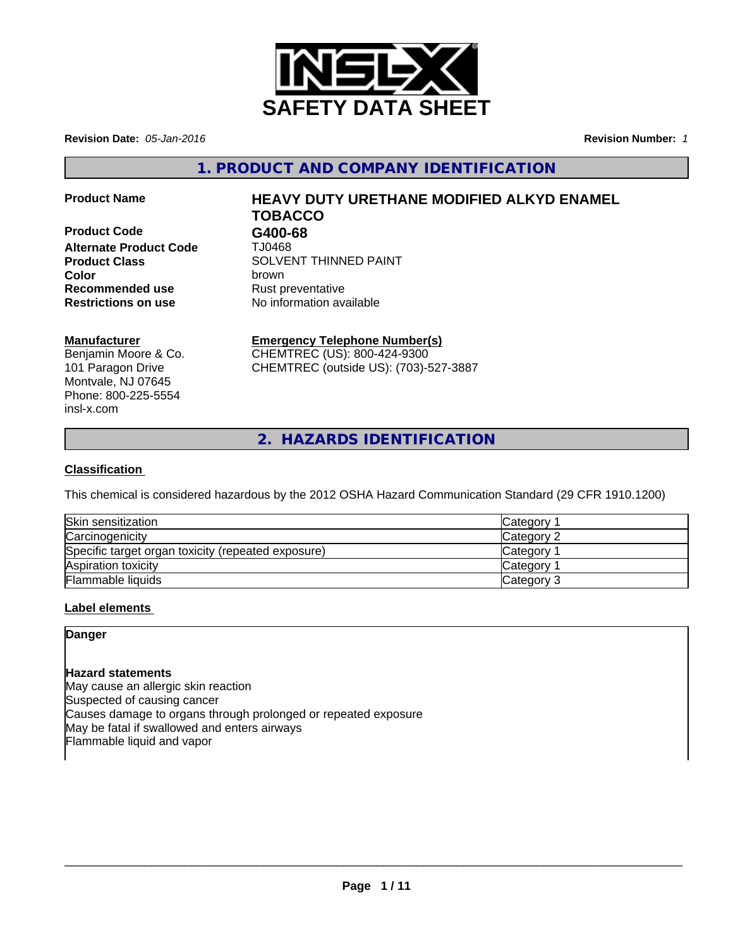

**Revision Date:** *05-Jan-2016* **Revision Number:** *1*

**1. PRODUCT AND COMPANY IDENTIFICATION**

**Product Code G400-68 Alternate Product Code** TJ0468 **Recommended use** Rust preventative **Restrictions on use** No information available

# **Product Name HEAVY DUTY URETHANE MODIFIED ALKYD ENAMEL TOBACCO**

**Product Class SOLVENT THINNED PAINT Color** brown

# **Manufacturer**

Benjamin Moore & Co. 101 Paragon Drive Montvale, NJ 07645 Phone: 800-225-5554 insl-x.com

# **Emergency Telephone Number(s)**

CHEMTREC (US): 800-424-9300 CHEMTREC (outside US): (703)-527-3887

**2. HAZARDS IDENTIFICATION**

# **Classification**

This chemical is considered hazardous by the 2012 OSHA Hazard Communication Standard (29 CFR 1910.1200)

| Skin sensitization                                 | Category        |
|----------------------------------------------------|-----------------|
| Carcinogenicity                                    | Category 2      |
| Specific target organ toxicity (repeated exposure) | <b>Category</b> |
| Aspiration toxicity                                | Category        |
| Flammable liquids                                  | Category 3      |

# **Label elements**

# **Danger**

# **Hazard statements**

May cause an allergic skin reaction Suspected of causing cancer Causes damage to organs through prolonged or repeated exposure May be fatal if swallowed and enters airways Flammable liquid and vapor

 $\overline{\phantom{a}}$  ,  $\overline{\phantom{a}}$  ,  $\overline{\phantom{a}}$  ,  $\overline{\phantom{a}}$  ,  $\overline{\phantom{a}}$  ,  $\overline{\phantom{a}}$  ,  $\overline{\phantom{a}}$  ,  $\overline{\phantom{a}}$  ,  $\overline{\phantom{a}}$  ,  $\overline{\phantom{a}}$  ,  $\overline{\phantom{a}}$  ,  $\overline{\phantom{a}}$  ,  $\overline{\phantom{a}}$  ,  $\overline{\phantom{a}}$  ,  $\overline{\phantom{a}}$  ,  $\overline{\phantom{a}}$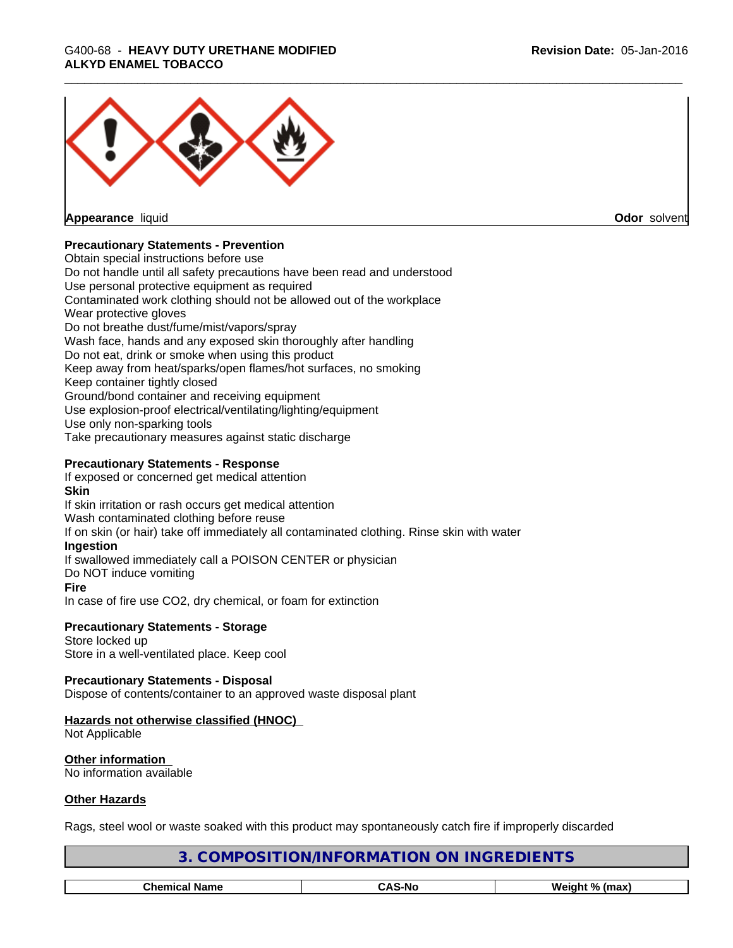

**Appearance** liquid **Odor** solvent

# **Precautionary Statements - Prevention**

Obtain special instructions before use Do not handle until all safety precautions have been read and understood Use personal protective equipment as required Contaminated work clothing should not be allowed out of the workplace Wear protective gloves Do not breathe dust/fume/mist/vapors/spray Wash face, hands and any exposed skin thoroughly after handling Do not eat, drink or smoke when using this product Keep away from heat/sparks/open flames/hot surfaces, no smoking Keep container tightly closed Ground/bond container and receiving equipment Use explosion-proof electrical/ventilating/lighting/equipment Use only non-sparking tools Take precautionary measures against static discharge

### **Precautionary Statements - Response**

If exposed or concerned get medical attention

# **Skin**

If skin irritation or rash occurs get medical attention Wash contaminated clothing before reuse If on skin (or hair) take off immediately all contaminated clothing. Rinse skin with water **Ingestion** If swallowed immediately call a POISON CENTER or physician Do NOT induce vomiting **Fire** In case of fire use CO2, dry chemical, or foam for extinction

#### **Precautionary Statements - Storage** Store locked up

Store in a well-ventilated place. Keep cool

# **Precautionary Statements - Disposal**

Dispose of contents/container to an approved waste disposal plant

# **Hazards not otherwise classified (HNOC)**

Not Applicable

**Other information** No information available

### **Other Hazards**

Rags, steel wool or waste soaked with this product may spontaneously catch fire if improperly discarded

| DIENTS<br><b>INGRET</b><br>)RMA<br>эNІ<br>эNІ<br>)N/INFC<br>- 16 |  |                |
|------------------------------------------------------------------|--|----------------|
|                                                                  |  |                |
| <b>CAS-No</b><br><b>Chemical Name</b>                            |  | Weight % (max) |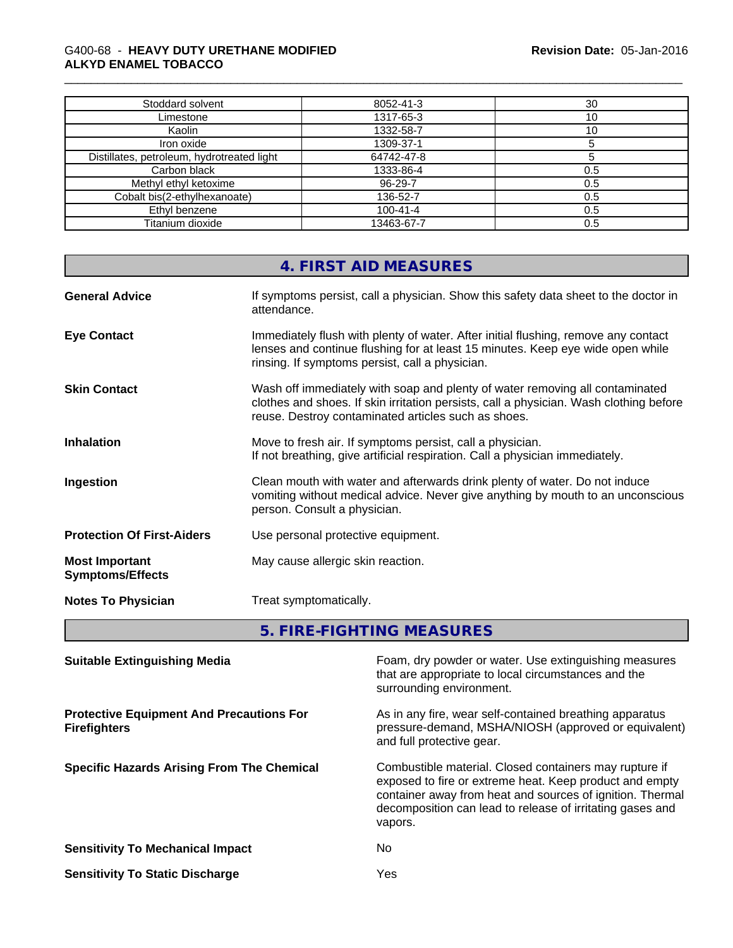| Stoddard solvent                           | 8052-41-3      | 30  |
|--------------------------------------------|----------------|-----|
| Limestone                                  | 1317-65-3      | 10  |
| Kaolin                                     | 1332-58-7      | 10  |
| Iron oxide                                 | 1309-37-1      |     |
| Distillates, petroleum, hydrotreated light | 64742-47-8     |     |
| Carbon black                               | 1333-86-4      | 0.5 |
| Methyl ethyl ketoxime                      | 96-29-7        | 0.5 |
| Cobalt bis(2-ethylhexanoate)               | 136-52-7       | 0.5 |
| Ethyl benzene                              | $100 - 41 - 4$ | 0.5 |
| Titanium dioxide                           | 13463-67-7     | 0.5 |

|                                                  | 4. FIRST AID MEASURES                                                                                                                                                                                                         |  |
|--------------------------------------------------|-------------------------------------------------------------------------------------------------------------------------------------------------------------------------------------------------------------------------------|--|
| <b>General Advice</b>                            | If symptoms persist, call a physician. Show this safety data sheet to the doctor in<br>attendance.                                                                                                                            |  |
| <b>Eye Contact</b>                               | Immediately flush with plenty of water. After initial flushing, remove any contact<br>lenses and continue flushing for at least 15 minutes. Keep eye wide open while<br>rinsing. If symptoms persist, call a physician.       |  |
| <b>Skin Contact</b>                              | Wash off immediately with soap and plenty of water removing all contaminated<br>clothes and shoes. If skin irritation persists, call a physician. Wash clothing before<br>reuse. Destroy contaminated articles such as shoes. |  |
| <b>Inhalation</b>                                | Move to fresh air. If symptoms persist, call a physician.<br>If not breathing, give artificial respiration. Call a physician immediately.                                                                                     |  |
| Ingestion                                        | Clean mouth with water and afterwards drink plenty of water. Do not induce<br>vomiting without medical advice. Never give anything by mouth to an unconscious<br>person. Consult a physician.                                 |  |
| <b>Protection Of First-Aiders</b>                | Use personal protective equipment.                                                                                                                                                                                            |  |
| <b>Most Important</b><br><b>Symptoms/Effects</b> | May cause allergic skin reaction.                                                                                                                                                                                             |  |
| <b>Notes To Physician</b>                        | Treat symptomatically.                                                                                                                                                                                                        |  |
|                                                  |                                                                                                                                                                                                                               |  |

**5. FIRE-FIGHTING MEASURES** 

| <b>Suitable Extinguishing Media</b>                                    | Foam, dry powder or water. Use extinguishing measures<br>that are appropriate to local circumstances and the<br>surrounding environment.                                                                                                               |
|------------------------------------------------------------------------|--------------------------------------------------------------------------------------------------------------------------------------------------------------------------------------------------------------------------------------------------------|
| <b>Protective Equipment And Precautions For</b><br><b>Firefighters</b> | As in any fire, wear self-contained breathing apparatus<br>pressure-demand, MSHA/NIOSH (approved or equivalent)<br>and full protective gear.                                                                                                           |
| <b>Specific Hazards Arising From The Chemical</b>                      | Combustible material. Closed containers may rupture if<br>exposed to fire or extreme heat. Keep product and empty<br>container away from heat and sources of ignition. Thermal<br>decomposition can lead to release of irritating gases and<br>vapors. |
| <b>Sensitivity To Mechanical Impact</b>                                | No.                                                                                                                                                                                                                                                    |
| <b>Sensitivity To Static Discharge</b>                                 | Yes                                                                                                                                                                                                                                                    |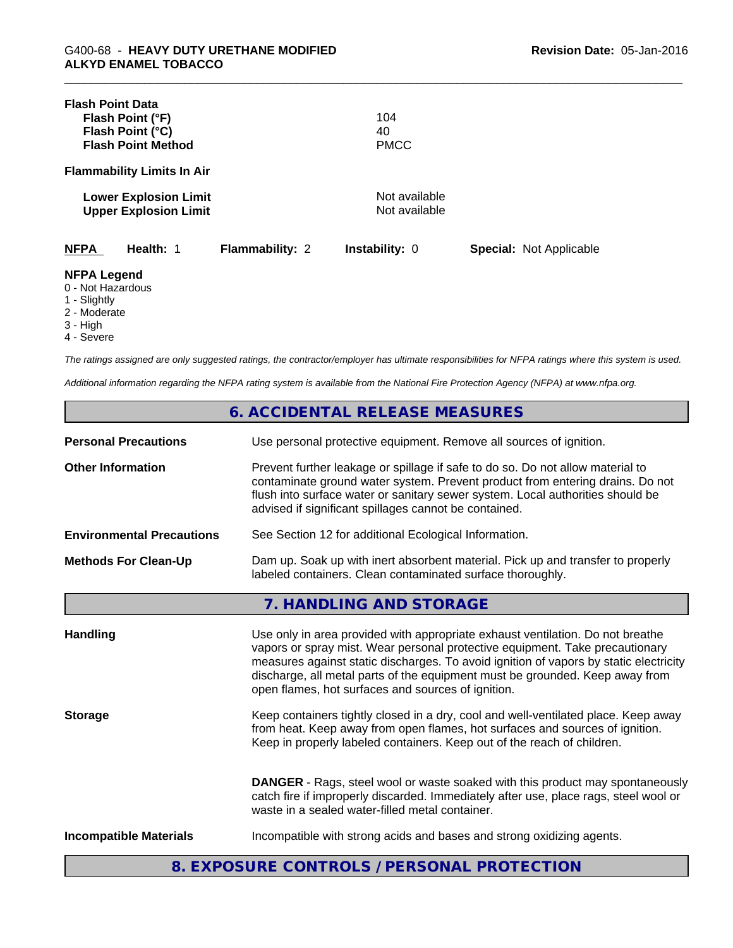| <b>Flash Point Data</b>                                                                             | Flash Point (°F)<br>Flash Point (°C)<br><b>Flash Point Method</b> |                        | 104<br>40<br><b>PMCC</b>       |                                |  |
|-----------------------------------------------------------------------------------------------------|-------------------------------------------------------------------|------------------------|--------------------------------|--------------------------------|--|
|                                                                                                     | <b>Flammability Limits In Air</b>                                 |                        |                                |                                |  |
|                                                                                                     | <b>Lower Explosion Limit</b><br><b>Upper Explosion Limit</b>      |                        | Not available<br>Not available |                                |  |
| <b>NFPA</b>                                                                                         | Health: 1                                                         | <b>Flammability: 2</b> | Instability: 0                 | <b>Special: Not Applicable</b> |  |
| <b>NFPA Legend</b><br>0 - Not Hazardous<br>1 - Slightly<br>2 - Moderate<br>$3 - High$<br>4 - Severe |                                                                   |                        |                                |                                |  |

*The ratings assigned are only suggested ratings, the contractor/employer has ultimate responsibilities for NFPA ratings where this system is used.*

*Additional information regarding the NFPA rating system is available from the National Fire Protection Agency (NFPA) at www.nfpa.org.*

|                                  | 6. ACCIDENTAL RELEASE MEASURES                                                                                                                                                                                                                                                                                                                                                                |
|----------------------------------|-----------------------------------------------------------------------------------------------------------------------------------------------------------------------------------------------------------------------------------------------------------------------------------------------------------------------------------------------------------------------------------------------|
| <b>Personal Precautions</b>      | Use personal protective equipment. Remove all sources of ignition.                                                                                                                                                                                                                                                                                                                            |
| <b>Other Information</b>         | Prevent further leakage or spillage if safe to do so. Do not allow material to<br>contaminate ground water system. Prevent product from entering drains. Do not<br>flush into surface water or sanitary sewer system. Local authorities should be<br>advised if significant spillages cannot be contained.                                                                                    |
| <b>Environmental Precautions</b> | See Section 12 for additional Ecological Information.                                                                                                                                                                                                                                                                                                                                         |
| <b>Methods For Clean-Up</b>      | Dam up. Soak up with inert absorbent material. Pick up and transfer to properly<br>labeled containers. Clean contaminated surface thoroughly.                                                                                                                                                                                                                                                 |
|                                  | 7. HANDLING AND STORAGE                                                                                                                                                                                                                                                                                                                                                                       |
| <b>Handling</b>                  | Use only in area provided with appropriate exhaust ventilation. Do not breathe<br>vapors or spray mist. Wear personal protective equipment. Take precautionary<br>measures against static discharges. To avoid ignition of vapors by static electricity<br>discharge, all metal parts of the equipment must be grounded. Keep away from<br>open flames, hot surfaces and sources of ignition. |
| <b>Storage</b>                   | Keep containers tightly closed in a dry, cool and well-ventilated place. Keep away<br>from heat. Keep away from open flames, hot surfaces and sources of ignition.<br>Keep in properly labeled containers. Keep out of the reach of children.                                                                                                                                                 |
|                                  | <b>DANGER</b> - Rags, steel wool or waste soaked with this product may spontaneously<br>catch fire if improperly discarded. Immediately after use, place rags, steel wool or<br>waste in a sealed water-filled metal container.                                                                                                                                                               |
| <b>Incompatible Materials</b>    | Incompatible with strong acids and bases and strong oxidizing agents.                                                                                                                                                                                                                                                                                                                         |
|                                  | 8. EXPOSURE CONTROLS / PERSONAL PROTECTION                                                                                                                                                                                                                                                                                                                                                    |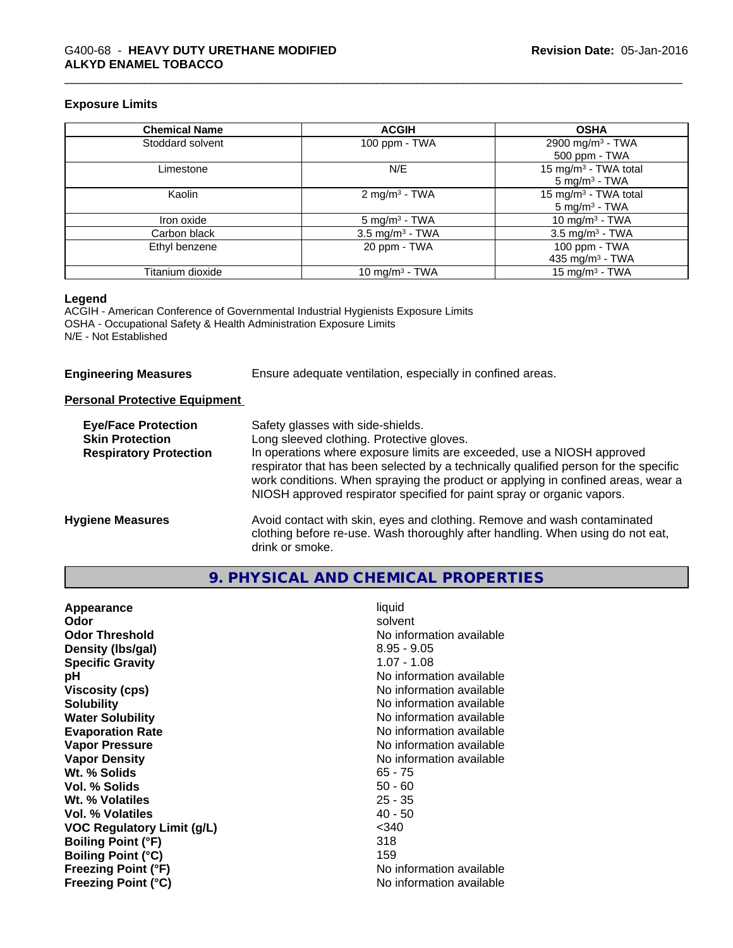### **Exposure Limits**

| <b>Chemical Name</b> | <b>ACGIH</b>               | <b>OSHA</b>                      |
|----------------------|----------------------------|----------------------------------|
| Stoddard solvent     | 100 ppm - TWA              | 2900 mg/m <sup>3</sup> - TWA     |
|                      |                            | 500 ppm - TWA                    |
| Limestone            | N/E                        | 15 mg/m <sup>3</sup> - TWA total |
|                      |                            | $5 \text{ mg/m}^3$ - TWA         |
| Kaolin               | 2 mg/m <sup>3</sup> - TWA  | 15 mg/m <sup>3</sup> - TWA total |
|                      |                            | $5 \text{ mg/m}^3$ - TWA         |
| Iron oxide           | $5 \text{ mg/m}^3$ - TWA   | 10 mg/m <sup>3</sup> - TWA       |
| Carbon black         | $3.5 \text{ mg/m}^3$ - TWA | $3.5$ mg/m <sup>3</sup> - TWA    |
| Ethyl benzene        | 20 ppm - TWA               | 100 ppm - TWA                    |
|                      |                            | 435 mg/m $3$ - TWA               |
| Titanium dioxide     | 10 mg/m $3$ - TWA          | 15 mg/m $3$ - TWA                |

# **Legend**

ACGIH - American Conference of Governmental Industrial Hygienists Exposure Limits OSHA - Occupational Safety & Health Administration Exposure Limits N/E - Not Established

| <b>Engineering Measures</b> |
|-----------------------------|
|-----------------------------|

**Engineering Measures** Ensure adequate ventilation, especially in confined areas.

# **Personal Protective Equipment**

| <b>Eye/Face Protection</b><br><b>Skin Protection</b><br><b>Respiratory Protection</b> | Safety glasses with side-shields.<br>Long sleeved clothing. Protective gloves.<br>In operations where exposure limits are exceeded, use a NIOSH approved<br>respirator that has been selected by a technically qualified person for the specific<br>work conditions. When spraying the product or applying in confined areas, wear a<br>NIOSH approved respirator specified for paint spray or organic vapors. |
|---------------------------------------------------------------------------------------|----------------------------------------------------------------------------------------------------------------------------------------------------------------------------------------------------------------------------------------------------------------------------------------------------------------------------------------------------------------------------------------------------------------|
| <b>Hygiene Measures</b>                                                               | Avoid contact with skin, eyes and clothing. Remove and wash contaminated<br>clothing before re-use. Wash thoroughly after handling. When using do not eat,<br>drink or smoke.                                                                                                                                                                                                                                  |

# **9. PHYSICAL AND CHEMICAL PROPERTIES**

| Appearance                 | liquid                   |
|----------------------------|--------------------------|
| Odor                       | solvent                  |
| <b>Odor Threshold</b>      | No information available |
| Density (Ibs/gal)          | $8.95 - 9.05$            |
| <b>Specific Gravity</b>    | 1.07 - 1.08              |
| рH                         | No information available |
| <b>Viscosity (cps)</b>     | No information available |
| <b>Solubility</b>          | No information available |
| <b>Water Solubility</b>    | No information available |
| <b>Evaporation Rate</b>    | No information available |
| <b>Vapor Pressure</b>      | No information available |
| <b>Vapor Density</b>       | No information available |
| Wt. % Solids               | $65 - 75$                |
| Vol. % Solids              | $50 - 60$                |
| Wt. % Volatiles            | $25 - 35$                |
| Vol. % Volatiles           | $40 - 50$                |
| VOC Regulatory Limit (g/L) | $<$ 340                  |
| <b>Boiling Point (°F)</b>  | 318                      |
| <b>Boiling Point (°C)</b>  | 159                      |
| <b>Freezing Point (°F)</b> | No information available |
| <b>Freezing Point (°C)</b> | No information available |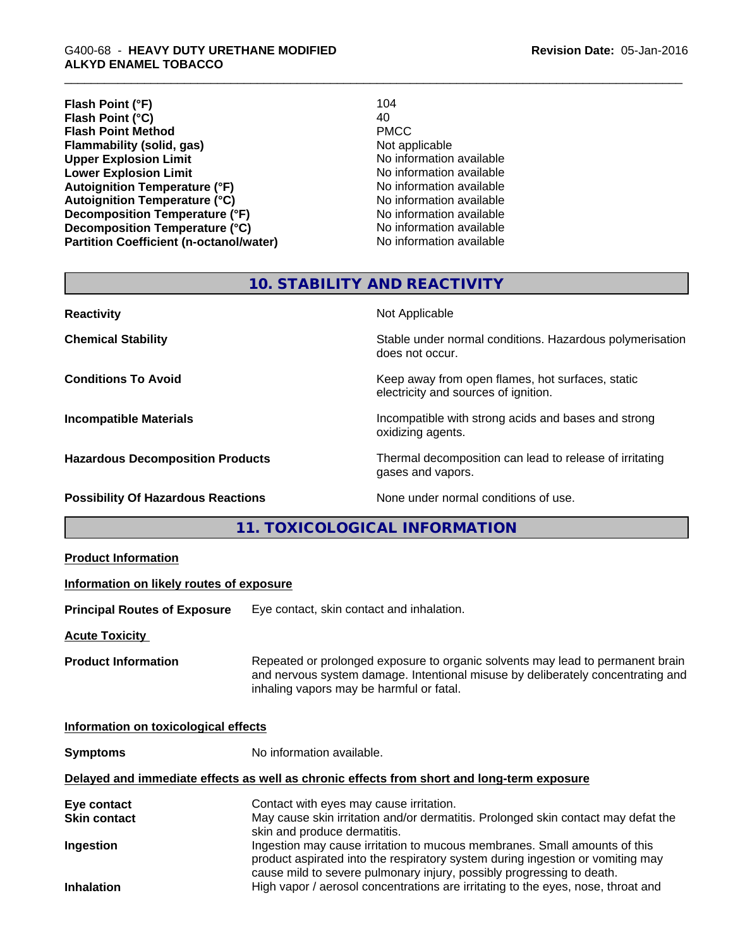**Flash Point (°F)** 104<br>**Flash Point (°C)** 104 **Flash Point (°C)** 40<br> **Flash Point Method All PMCC Flash Point Method Flammability (solid, gas)**<br> **Community** Upper Explosion Limit **Notify Applicable**<br>
No information available **Upper Explosion Limit**<br> **Lower Explosion Limit**<br> **Lower Explosion Limit**<br> **Lower Explosion Limit Lower Explosion Limit Autoignition Temperature (°F)**<br> **Autoignition Temperature (°C)** No information available Autoignition Temperature (°C)<br>
Decomposition Temperature (°F)<br>
No information available **Decomposition Temperature (°F) Decomposition Temperature (°C)**<br> **Partition Coefficient (n-octanol/water)** No information available **Partition Coefficient (n-octanol/water)** 

# **10. STABILITY AND REACTIVITY**

| <b>Reactivity</b>                         | Not Applicable                                                                           |
|-------------------------------------------|------------------------------------------------------------------------------------------|
| <b>Chemical Stability</b>                 | Stable under normal conditions. Hazardous polymerisation<br>does not occur.              |
| <b>Conditions To Avoid</b>                | Keep away from open flames, hot surfaces, static<br>electricity and sources of ignition. |
| <b>Incompatible Materials</b>             | Incompatible with strong acids and bases and strong<br>oxidizing agents.                 |
| <b>Hazardous Decomposition Products</b>   | Thermal decomposition can lead to release of irritating<br>gases and vapors.             |
| <b>Possibility Of Hazardous Reactions</b> | None under normal conditions of use.                                                     |

**11. TOXICOLOGICAL INFORMATION**

| <b>Product Information</b>               |                                                                                                                                                                                                                                      |
|------------------------------------------|--------------------------------------------------------------------------------------------------------------------------------------------------------------------------------------------------------------------------------------|
| Information on likely routes of exposure |                                                                                                                                                                                                                                      |
| <b>Principal Routes of Exposure</b>      | Eye contact, skin contact and inhalation.                                                                                                                                                                                            |
| <b>Acute Toxicity</b>                    |                                                                                                                                                                                                                                      |
| <b>Product Information</b>               | Repeated or prolonged exposure to organic solvents may lead to permanent brain<br>and nervous system damage. Intentional misuse by deliberately concentrating and<br>inhaling vapors may be harmful or fatal.                        |
| Information on toxicological effects     |                                                                                                                                                                                                                                      |
| <b>Symptoms</b>                          | No information available.                                                                                                                                                                                                            |
|                                          | Delayed and immediate effects as well as chronic effects from short and long-term exposure                                                                                                                                           |
| Eye contact<br><b>Skin contact</b>       | Contact with eyes may cause irritation.<br>May cause skin irritation and/or dermatitis. Prolonged skin contact may defat the<br>skin and produce dermatitis.                                                                         |
| Ingestion                                | Ingestion may cause irritation to mucous membranes. Small amounts of this<br>product aspirated into the respiratory system during ingestion or vomiting may<br>cause mild to severe pulmonary injury, possibly progressing to death. |
| <b>Inhalation</b>                        | High vapor / aerosol concentrations are irritating to the eyes, nose, throat and                                                                                                                                                     |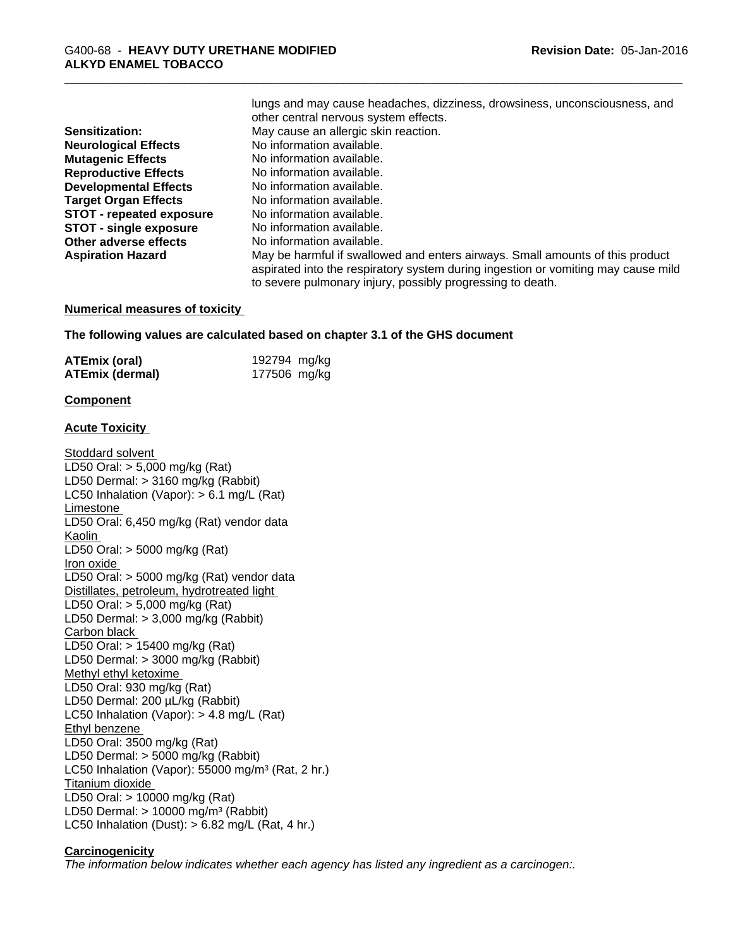|                                 | iuriyə aria may cauəc ncauachcə, ulzzincəə, urowəlncəə, unconsciousncəə, ana                                                                                       |
|---------------------------------|--------------------------------------------------------------------------------------------------------------------------------------------------------------------|
|                                 | other central nervous system effects.                                                                                                                              |
| <b>Sensitization:</b>           | May cause an allergic skin reaction.                                                                                                                               |
| <b>Neurological Effects</b>     | No information available.                                                                                                                                          |
| <b>Mutagenic Effects</b>        | No information available.                                                                                                                                          |
| <b>Reproductive Effects</b>     | No information available.                                                                                                                                          |
| <b>Developmental Effects</b>    | No information available.                                                                                                                                          |
| <b>Target Organ Effects</b>     | No information available.                                                                                                                                          |
| <b>STOT - repeated exposure</b> | No information available.                                                                                                                                          |
| <b>STOT - single exposure</b>   | No information available.                                                                                                                                          |
| Other adverse effects           | No information available.                                                                                                                                          |
| <b>Aspiration Hazard</b>        | May be harmful if swallowed and enters airways. Small amounts of this product<br>aspirated into the respiratory system during ingestion or vomiting may cause mild |
|                                 | to severe pulmonary injury, possibly progressing to death.                                                                                                         |

lungs and may cause headaches, dizziness, drowsiness, unconsciousness, and

#### **Numerical measures of toxicity**

**The following values are calculated based on chapter 3.1 of the GHS document**

| <b>ATEmix (oral)</b> | 192794 mg/kg |  |
|----------------------|--------------|--|
| ATEmix (dermal)      | 177506 mg/kg |  |

#### **Component**

### **Acute Toxicity**

Stoddard solvent LD50 Oral: > 5,000 mg/kg (Rat) LD50 Dermal: > 3160 mg/kg (Rabbit) LC50 Inhalation (Vapor): > 6.1 mg/L (Rat) Limestone LD50 Oral: 6,450 mg/kg (Rat) vendor data Kaolin LD50 Oral: > 5000 mg/kg (Rat) Iron oxide LD50 Oral: > 5000 mg/kg (Rat) vendor data Distillates, petroleum, hydrotreated light LD50 Oral: > 5,000 mg/kg (Rat) LD50 Dermal: > 3,000 mg/kg (Rabbit) Carbon black LD50 Oral: > 15400 mg/kg (Rat) LD50 Dermal: > 3000 mg/kg (Rabbit) Methyl ethyl ketoxime LD50 Oral: 930 mg/kg (Rat) LD50 Dermal: 200 µL/kg (Rabbit) LC50 Inhalation (Vapor): > 4.8 mg/L (Rat) Ethyl benzene LD50 Oral: 3500 mg/kg (Rat) LD50 Dermal: > 5000 mg/kg (Rabbit) LC50 Inhalation (Vapor): 55000 mg/m<sup>3</sup> (Rat, 2 hr.) Titanium dioxide LD50 Oral: > 10000 mg/kg (Rat) LD50 Dermal:  $> 10000$  mg/m<sup>3</sup> (Rabbit) LC50 Inhalation (Dust):  $> 6.82$  mg/L (Rat, 4 hr.)

### **Carcinogenicity**

*The information below indicateswhether each agency has listed any ingredient as a carcinogen:.*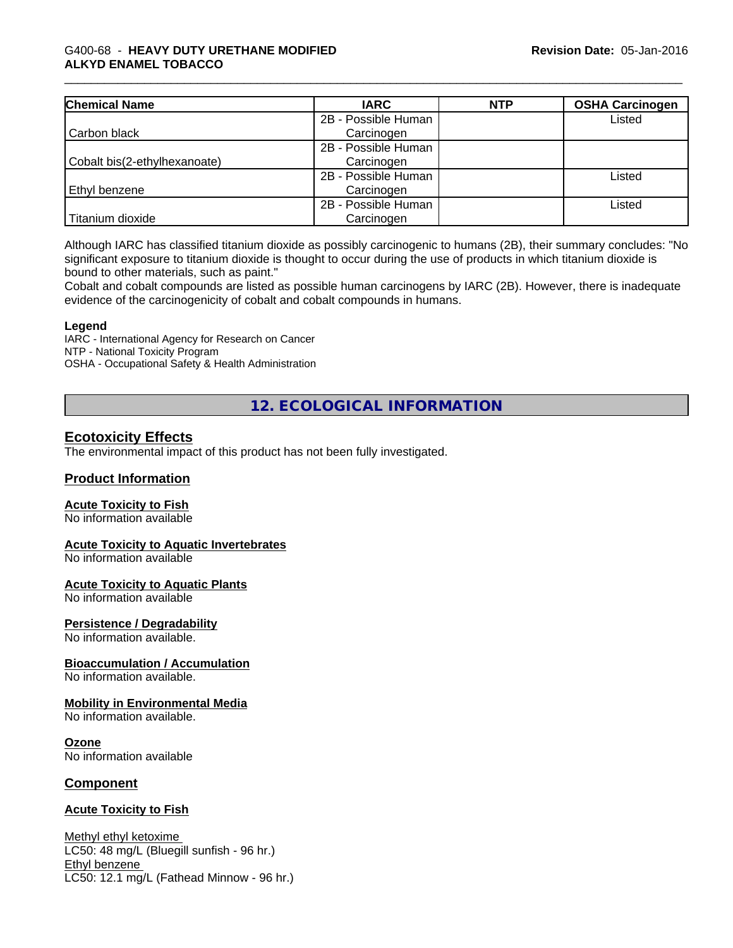| <b>Chemical Name</b>         | <b>IARC</b>         | <b>NTP</b> | <b>OSHA Carcinogen</b> |
|------------------------------|---------------------|------------|------------------------|
|                              | 2B - Possible Human |            | Listed                 |
| Carbon black                 | Carcinogen          |            |                        |
|                              | 2B - Possible Human |            |                        |
| Cobalt bis(2-ethylhexanoate) | Carcinogen          |            |                        |
|                              | 2B - Possible Human |            | Listed                 |
| Ethyl benzene                | Carcinogen          |            |                        |
|                              | 2B - Possible Human |            | Listed                 |
| Titanium dioxide             | Carcinogen          |            |                        |

Although IARC has classified titanium dioxide as possibly carcinogenic to humans (2B), their summary concludes: "No significant exposure to titanium dioxide is thought to occur during the use of products in which titanium dioxide is bound to other materials, such as paint."

Cobalt and cobalt compounds are listed as possible human carcinogens by IARC (2B). However, there isinadequate evidence of the carcinogenicity of cobalt and cobalt compounds in humans.

### **Legend**

IARC - International Agency for Research on Cancer NTP - National Toxicity Program OSHA - Occupational Safety & Health Administration

**12. ECOLOGICAL INFORMATION**

# **Ecotoxicity Effects**

The environmental impact of this product has not been fully investigated.

# **Product Information**

### **Acute Toxicity to Fish**

No information available

### **Acute Toxicity to Aquatic Invertebrates**

No information available

#### **Acute Toxicity to Aquatic Plants**

No information available

#### **Persistence / Degradability**

No information available.

### **Bioaccumulation / Accumulation**

No information available.

# **Mobility in Environmental Media**

No information available.

#### **Ozone**

No information available

### **Component**

### **Acute Toxicity to Fish**

Methyl ethyl ketoxime LC50: 48 mg/L (Bluegill sunfish - 96 hr.) Ethyl benzene LC50: 12.1 mg/L (Fathead Minnow - 96 hr.)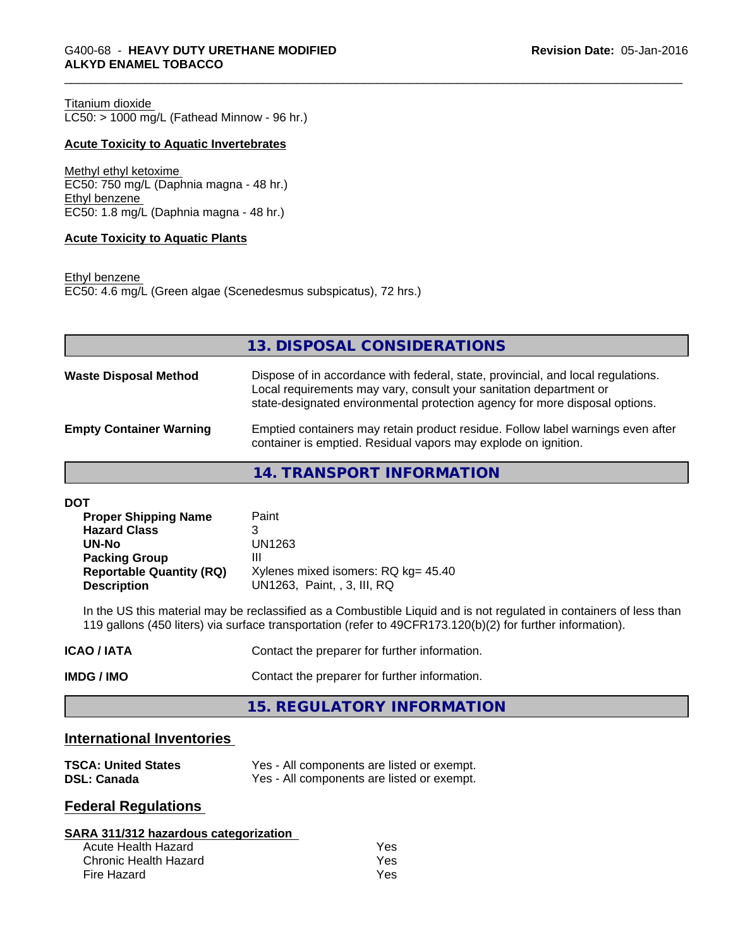Titanium dioxide  $LC50:$  > 1000 mg/L (Fathead Minnow - 96 hr.)

# **Acute Toxicity to Aquatic Invertebrates**

Methyl ethyl ketoxime EC50: 750 mg/L (Daphnia magna - 48 hr.) Ethyl benzene EC50: 1.8 mg/L (Daphnia magna - 48 hr.)

# **Acute Toxicity to Aquatic Plants**

Ethyl benzene EC50: 4.6 mg/L (Green algae (Scenedesmus subspicatus), 72 hrs.)

|                                | 13. DISPOSAL CONSIDERATIONS                                                                                                                                                                                                           |
|--------------------------------|---------------------------------------------------------------------------------------------------------------------------------------------------------------------------------------------------------------------------------------|
| <b>Waste Disposal Method</b>   | Dispose of in accordance with federal, state, provincial, and local regulations.<br>Local requirements may vary, consult your sanitation department or<br>state-designated environmental protection agency for more disposal options. |
| <b>Empty Container Warning</b> | Emptied containers may retain product residue. Follow label warnings even after<br>container is emptied. Residual vapors may explode on ignition.                                                                                     |
|                                |                                                                                                                                                                                                                                       |

**14. TRANSPORT INFORMATION**

| <b>DOT</b> |
|------------|
|------------|

| <b>Proper Shipping Name</b>     | Paint                               |
|---------------------------------|-------------------------------------|
| <b>Hazard Class</b>             | 3                                   |
| UN-No                           | UN1263                              |
| <b>Packing Group</b>            | Ш                                   |
| <b>Reportable Quantity (RQ)</b> | Xylenes mixed isomers: RQ kg= 45.40 |
| <b>Description</b>              | UN1263, Paint, , 3, III, RQ         |

In the US this material may be reclassified as a Combustible Liquid and is not regulated in containers of less than 119 gallons (450 liters) via surface transportation (refer to 49CFR173.120(b)(2) for further information).

| <b>ICAO/IATA</b>  | Contact the preparer for further information. |
|-------------------|-----------------------------------------------|
| <b>IMDG / IMO</b> | Contact the preparer for further information. |

**15. REGULATORY INFORMATION**

# **International Inventories**

| <b>TSCA: United States</b> | Yes - All components are listed or exempt. |
|----------------------------|--------------------------------------------|
| <b>DSL: Canada</b>         | Yes - All components are listed or exempt. |

# **Federal Regulations**

#### **SARA 311/312 hazardous categorization**

| Acute Health Hazard   | Yes |  |
|-----------------------|-----|--|
| Chronic Health Hazard | Yes |  |
| Fire Hazard           | Yes |  |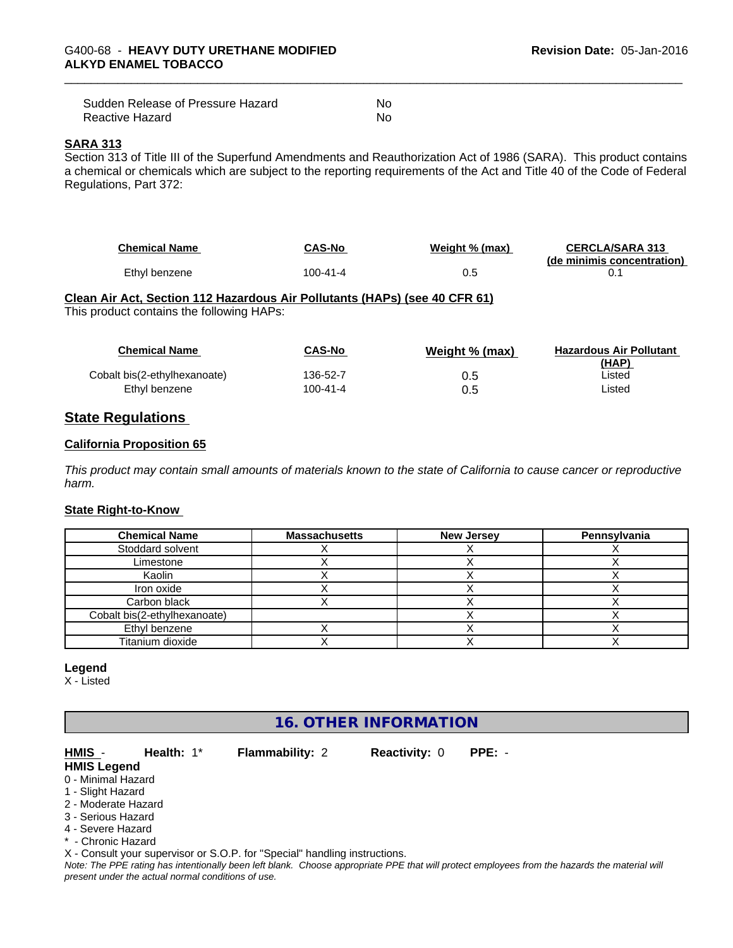| Sudden Release of Pressure Hazard | No |
|-----------------------------------|----|
| Reactive Hazard                   | No |

# **SARA 313**

Section 313 of Title III of the Superfund Amendments and Reauthorization Act of 1986 (SARA). This product contains a chemical or chemicals which are subject to the reporting requirements of the Act and Title 40 of the Code of Federal Regulations, Part 372:

| <b>Chemical Name</b> | CAS-No   | Weight % (max) | <b>CERCLA/SARA 313</b><br>(de minimis concentration) |
|----------------------|----------|----------------|------------------------------------------------------|
| Ethyl benzene        | 100-41-4 | v.J            |                                                      |

# **Clean Air Act,Section 112 Hazardous Air Pollutants (HAPs) (see 40 CFR 61)**

This product contains the following HAPs:

| <b>Chemical Name</b>         | <b>CAS-No</b> | Weight % (max) | <b>Hazardous Air Pollutant</b><br>(HAP) |
|------------------------------|---------------|----------------|-----------------------------------------|
| Cobalt bis(2-ethylhexanoate) | 136-52-7      | U.5            | ∟isted                                  |
| Ethyl benzene                | 100-41-4      |                | ∟isted                                  |

# **State Regulations**

#### **California Proposition 65**

This product may contain small amounts of materials known to the state of California to cause cancer or reproductive *harm.*

# **State Right-to-Know**

| <b>Chemical Name</b>         | <b>Massachusetts</b> | <b>New Jersey</b> | Pennsylvania |
|------------------------------|----------------------|-------------------|--------------|
| Stoddard solvent             |                      |                   |              |
| Limestone                    |                      |                   |              |
| Kaolin                       |                      |                   |              |
| Iron oxide                   |                      |                   |              |
| Carbon black                 |                      |                   |              |
| Cobalt bis(2-ethylhexanoate) |                      |                   |              |
| Ethyl benzene                |                      |                   |              |
| Titanium dioxide             |                      |                   |              |

#### **Legend**

X - Listed

# **16. OTHER INFORMATION**

# **HMIS** - **Health:** 1\* **Flammability:** 2 **Reactivity:** 0 **PPE:** -

**HMIS Legend**

- 0 Minimal Hazard 1 - Slight Hazard
- 2 Moderate Hazard
- 3 Serious Hazard
- 4 Severe Hazard
- \* Chronic Hazard

X - Consult your supervisor or S.O.P. for "Special" handling instructions.

*Note: The PPE rating has intentionally been left blank. Choose appropriate PPE that will protect employees from the hazards the material will present under the actual normal conditions of use.*